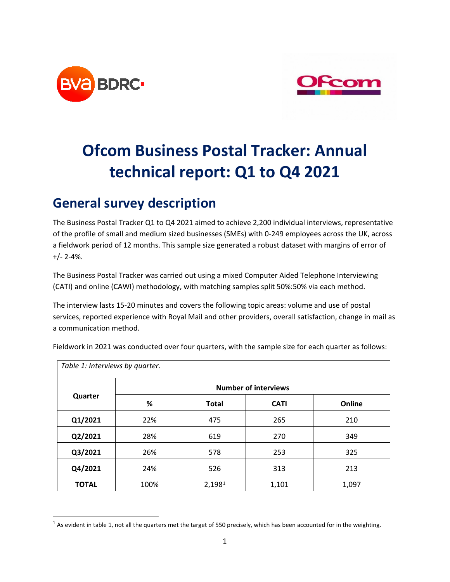



# **Ofcom Business Postal Tracker: Annual technical report: Q1 to Q4 2021**

### **General survey description**

The Business Postal Tracker Q1 to Q4 2021 aimed to achieve 2,200 individual interviews, representative of the profile of small and medium sized businesses (SMEs) with 0-249 employees across the UK, across a fieldwork period of 12 months. This sample size generated a robust dataset with margins of error of +/- 2-4%.

The Business Postal Tracker was carried out using a mixed Computer Aided Telephone Interviewing (CATI) and online (CAWI) methodology, with matching samples split 50%:50% via each method.

The interview lasts 15-20 minutes and covers the following topic areas: volume and use of postal services, reported experience with Royal Mail and other providers, overall satisfaction, change in mail as a communication method.

| Table 1: Interviews by quarter. |                             |              |             |        |  |  |  |
|---------------------------------|-----------------------------|--------------|-------------|--------|--|--|--|
| Quarter                         | <b>Number of interviews</b> |              |             |        |  |  |  |
|                                 | %                           | <b>Total</b> | <b>CATI</b> | Online |  |  |  |
| Q1/2021                         | 22%                         | 475          | 265         | 210    |  |  |  |
| Q2/2021                         | 28%                         | 619          | 270         | 349    |  |  |  |
| Q3/2021                         | 26%                         | 578          | 253         | 325    |  |  |  |
| Q4/2021                         | 24%                         | 526          | 313         | 213    |  |  |  |
| <b>TOTAL</b>                    | 100%                        | 2,1981       | 1,101       | 1,097  |  |  |  |

Fieldwork in 2021 was conducted over four quarters, with the sample size for each quarter as follows:

<span id="page-0-0"></span> $1$  As evident in table 1, not all the quarters met the target of 550 precisely, which has been accounted for in the weighting.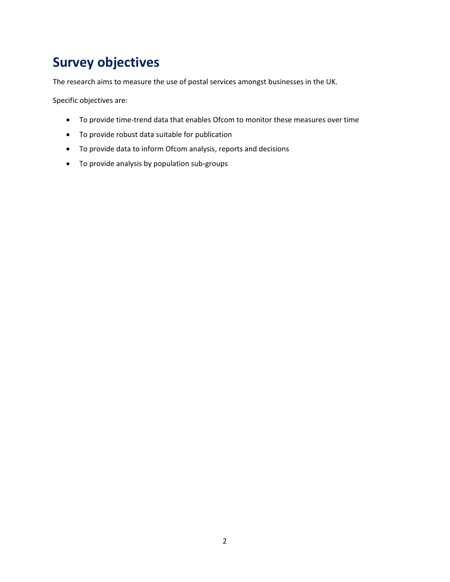# **Survey objectives**

The research aims to measure the use of postal services amongst businesses in the UK.

Specific objectives are:

- To provide time-trend data that enables Ofcom to monitor these measures over time
- To provide robust data suitable for publication
- To provide data to inform Ofcom analysis, reports and decisions
- To provide analysis by population sub-groups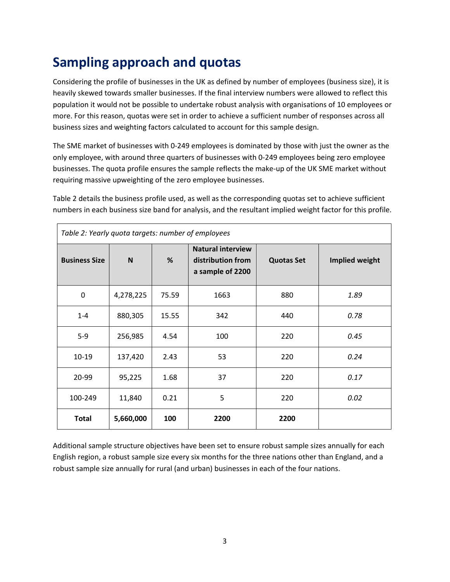# **Sampling approach and quotas**

Considering the profile of businesses in the UK as defined by number of employees (business size), it is heavily skewed towards smaller businesses. If the final interview numbers were allowed to reflect this population it would not be possible to undertake robust analysis with organisations of 10 employees or more. For this reason, quotas were set in order to achieve a sufficient number of responses across all business sizes and weighting factors calculated to account for this sample design.

The SME market of businesses with 0-249 employees is dominated by those with just the owner as the only employee, with around three quarters of businesses with 0-249 employees being zero employee businesses. The quota profile ensures the sample reflects the make-up of the UK SME market without requiring massive upweighting of the zero employee businesses.

Table 2 details the business profile used, as well as the corresponding quotas set to achieve sufficient numbers in each business size band for analysis, and the resultant implied weight factor for this profile.

| Table 2: Yearly quota targets: number of employees |           |       |                                                                   |                   |                |  |  |
|----------------------------------------------------|-----------|-------|-------------------------------------------------------------------|-------------------|----------------|--|--|
| <b>Business Size</b>                               | N         | %     | <b>Natural interview</b><br>distribution from<br>a sample of 2200 | <b>Quotas Set</b> | Implied weight |  |  |
| 0                                                  | 4,278,225 | 75.59 | 1663                                                              | 880               | 1.89           |  |  |
| $1 - 4$                                            | 880,305   | 15.55 | 342                                                               | 440               | 0.78           |  |  |
| $5-9$                                              | 256,985   | 4.54  | 100                                                               | 220               | 0.45           |  |  |
| $10 - 19$                                          | 137,420   | 2.43  | 53                                                                | 220               | 0.24           |  |  |
| 20-99                                              | 95,225    | 1.68  | 37                                                                | 220               | 0.17           |  |  |
| 100-249                                            | 11,840    | 0.21  | 5                                                                 | 220               | 0.02           |  |  |
| <b>Total</b>                                       | 5,660,000 | 100   | 2200                                                              | 2200              |                |  |  |

Additional sample structure objectives have been set to ensure robust sample sizes annually for each English region, a robust sample size every six months for the three nations other than England, and a robust sample size annually for rural (and urban) businesses in each of the four nations.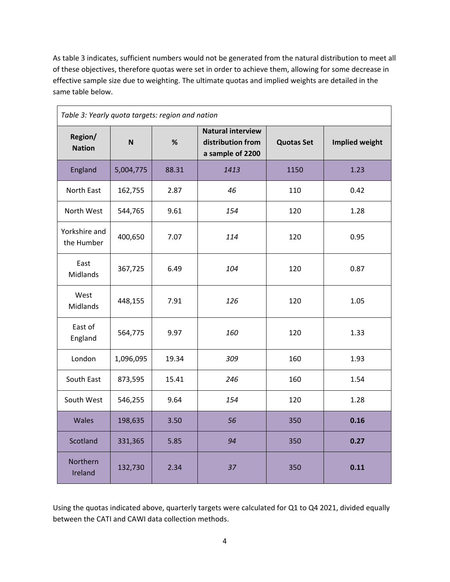As table 3 indicates, sufficient numbers would not be generated from the natural distribution to meet all of these objectives, therefore quotas were set in order to achieve them, allowing for some decrease in effective sample size due to weighting. The ultimate quotas and implied weights are detailed in the same table below.

| Table 3: Yearly quota targets: region and nation |           |       |                                                                   |                   |                       |  |  |  |
|--------------------------------------------------|-----------|-------|-------------------------------------------------------------------|-------------------|-----------------------|--|--|--|
| Region/<br><b>Nation</b>                         | N         | %     | <b>Natural interview</b><br>distribution from<br>a sample of 2200 | <b>Quotas Set</b> | <b>Implied weight</b> |  |  |  |
| England                                          | 5,004,775 | 88.31 | 1413                                                              | 1150              | 1.23                  |  |  |  |
| North East                                       | 162,755   | 2.87  | 46                                                                | 110               | 0.42                  |  |  |  |
| North West                                       | 544,765   | 9.61  | 154                                                               | 120               | 1.28                  |  |  |  |
| Yorkshire and<br>the Humber                      | 400,650   | 7.07  | 114                                                               | 120               | 0.95                  |  |  |  |
| East<br>Midlands                                 | 367,725   | 6.49  | 104                                                               | 120               | 0.87                  |  |  |  |
| West<br><b>Midlands</b>                          | 448,155   | 7.91  | 126                                                               | 120               | 1.05                  |  |  |  |
| East of<br>England                               | 564,775   | 9.97  | 160                                                               | 120               | 1.33                  |  |  |  |
| London                                           | 1,096,095 | 19.34 | 309                                                               | 160               | 1.93                  |  |  |  |
| South East                                       | 873,595   | 15.41 | 246                                                               | 160               | 1.54                  |  |  |  |
| South West                                       | 546,255   | 9.64  | 154                                                               | 120               | 1.28                  |  |  |  |
| Wales                                            | 198,635   | 3.50  | 56                                                                | 350               | 0.16                  |  |  |  |
| Scotland                                         | 331,365   | 5.85  | 94                                                                | 350               | 0.27                  |  |  |  |
| Northern<br>Ireland                              | 132,730   | 2.34  | 37                                                                | 350               | 0.11                  |  |  |  |

Using the quotas indicated above, quarterly targets were calculated for Q1 to Q4 2021, divided equally between the CATI and CAWI data collection methods.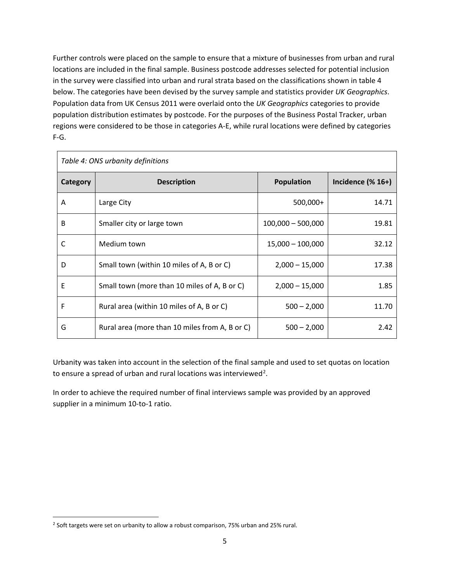Further controls were placed on the sample to ensure that a mixture of businesses from urban and rural locations are included in the final sample. Business postcode addresses selected for potential inclusion in the survey were classified into urban and rural strata based on the classifications shown in table 4 below. The categories have been devised by the survey sample and statistics provider *UK Geographics*. Population data from UK Census 2011 were overlaid onto the *UK Geographics* categories to provide population distribution estimates by postcode. For the purposes of the Business Postal Tracker, urban regions were considered to be those in categories A-E, while rural locations were defined by categories F-G.

| Table 4: ONS urbanity definitions |                                                |                     |                                      |  |  |  |  |
|-----------------------------------|------------------------------------------------|---------------------|--------------------------------------|--|--|--|--|
| Category                          | <b>Description</b>                             | <b>Population</b>   | Incidence $(% \mathbb{R}^2)$ (% 16+) |  |  |  |  |
| A                                 | Large City                                     | 500,000+            | 14.71                                |  |  |  |  |
| B                                 | Smaller city or large town                     | $100,000 - 500,000$ | 19.81                                |  |  |  |  |
| C                                 | Medium town                                    | $15,000 - 100,000$  | 32.12                                |  |  |  |  |
| D                                 | Small town (within 10 miles of A, B or C)      | $2,000 - 15,000$    | 17.38                                |  |  |  |  |
| E                                 | Small town (more than 10 miles of A, B or C)   | $2,000 - 15,000$    | 1.85                                 |  |  |  |  |
| F                                 | Rural area (within 10 miles of A, B or C)      | $500 - 2,000$       | 11.70                                |  |  |  |  |
| G                                 | Rural area (more than 10 miles from A, B or C) | $500 - 2,000$       | 2.42                                 |  |  |  |  |

Urbanity was taken into account in the selection of the final sample and used to set quotas on location to ensure a spread of urban and rural locations was interviewed<sup>[2](#page-4-0)</sup>.

In order to achieve the required number of final interviews sample was provided by an approved supplier in a minimum 10-to-1 ratio.

<span id="page-4-0"></span><sup>&</sup>lt;sup>2</sup> Soft targets were set on urbanity to allow a robust comparison, 75% urban and 25% rural.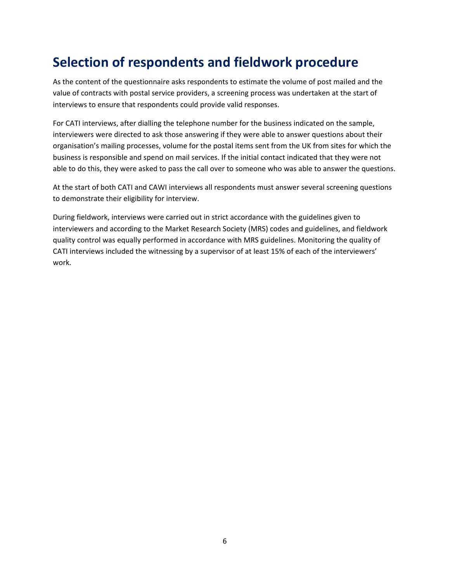### **Selection of respondents and fieldwork procedure**

As the content of the questionnaire asks respondents to estimate the volume of post mailed and the value of contracts with postal service providers, a screening process was undertaken at the start of interviews to ensure that respondents could provide valid responses.

For CATI interviews, after dialling the telephone number for the business indicated on the sample, interviewers were directed to ask those answering if they were able to answer questions about their organisation's mailing processes, volume for the postal items sent from the UK from sites for which the business is responsible and spend on mail services. If the initial contact indicated that they were not able to do this, they were asked to pass the call over to someone who was able to answer the questions.

At the start of both CATI and CAWI interviews all respondents must answer several screening questions to demonstrate their eligibility for interview.

During fieldwork, interviews were carried out in strict accordance with the guidelines given to interviewers and according to the Market Research Society (MRS) codes and guidelines, and fieldwork quality control was equally performed in accordance with MRS guidelines. Monitoring the quality of CATI interviews included the witnessing by a supervisor of at least 15% of each of the interviewers' work.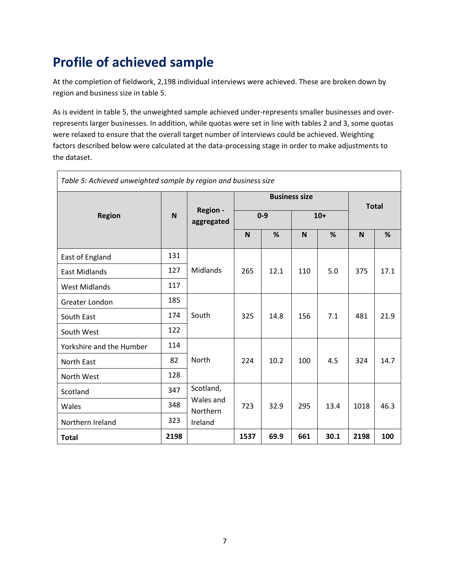# **Profile of achieved sample**

 $\blacksquare$ 

At the completion of fieldwork, 2,198 individual interviews were achieved. These are broken down by region and business size in table 5.

As is evident in table 5, the unweighted sample achieved under-represents smaller businesses and overrepresents larger businesses. In addition, while quotas were set in line with tables 2 and 3, some quotas were relaxed to ensure that the overall target number of interviews could be achieved. Weighting factors described below were calculated at the data-processing stage in order to make adjustments to the dataset.

٦

| Table 5: Achieved unweighted sample by region and business size |              |                               |                      |      |       |      |              |      |
|-----------------------------------------------------------------|--------------|-------------------------------|----------------------|------|-------|------|--------------|------|
|                                                                 |              | <b>Region -</b><br>aggregated | <b>Business size</b> |      |       |      | <b>Total</b> |      |
| <b>Region</b>                                                   | $\mathsf{N}$ |                               | $0 - 9$              |      | $10+$ |      |              |      |
|                                                                 |              |                               | N                    | %    | N     | %    | N            | %    |
| East of England                                                 | 131          |                               |                      |      |       |      |              |      |
| <b>East Midlands</b>                                            | 127          | Midlands                      | 265                  | 12.1 | 110   | 5.0  | 375          | 17.1 |
| <b>West Midlands</b>                                            | 117          |                               |                      |      |       |      |              |      |
| Greater London                                                  | 185          |                               |                      |      |       |      |              |      |
| South East                                                      | 174          | South                         | 325                  | 14.8 | 156   | 7.1  | 481          | 21.9 |
| South West                                                      | 122          |                               |                      |      |       |      |              |      |
| Yorkshire and the Humber                                        | 114          |                               |                      |      |       |      |              |      |
| North East                                                      | 82           | North                         | 224                  | 10.2 | 100   | 4.5  | 324          | 14.7 |
| North West                                                      | 128          |                               |                      |      |       |      |              |      |
| Scotland                                                        | 347          | Scotland,                     |                      |      |       |      |              |      |
| Wales                                                           | 348          | Wales and<br>Northern         | 723                  | 32.9 | 295   | 13.4 | 1018         | 46.3 |
| Northern Ireland                                                | 323          | Ireland                       |                      |      |       |      |              |      |
| <b>Total</b>                                                    | 2198         |                               | 1537                 | 69.9 | 661   | 30.1 | 2198         | 100  |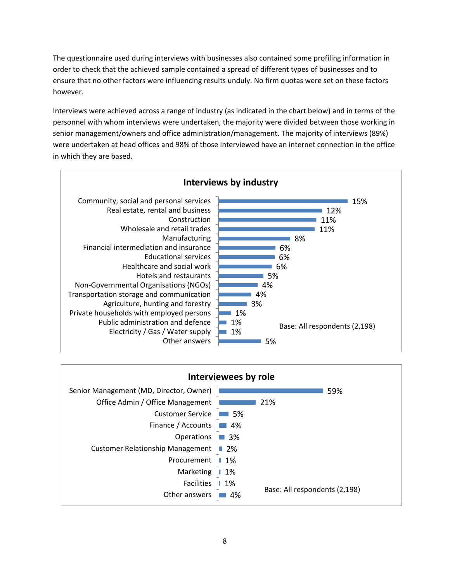The questionnaire used during interviews with businesses also contained some profiling information in order to check that the achieved sample contained a spread of different types of businesses and to ensure that no other factors were influencing results unduly. No firm quotas were set on these factors however.

Interviews were achieved across a range of industry (as indicated in the chart below) and in terms of the personnel with whom interviews were undertaken, the majority were divided between those working in senior management/owners and office administration/management. The majority of interviews (89%) were undertaken at head offices and 98% of those interviewed have an internet connection in the office in which they are based.



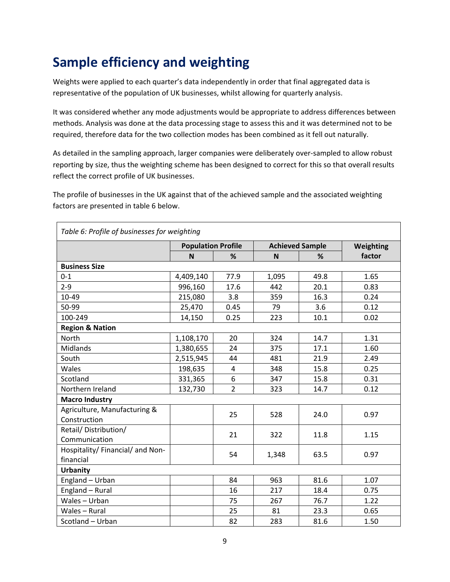# **Sample efficiency and weighting**

Weights were applied to each quarter's data independently in order that final aggregated data is representative of the population of UK businesses, whilst allowing for quarterly analysis.

It was considered whether any mode adjustments would be appropriate to address differences between methods. Analysis was done at the data processing stage to assess this and it was determined not to be required, therefore data for the two collection modes has been combined as it fell out naturally.

As detailed in the sampling approach, larger companies were deliberately over-sampled to allow robust reporting by size, thus the weighting scheme has been designed to correct for this so that overall results reflect the correct profile of UK businesses.

The profile of businesses in the UK against that of the achieved sample and the associated weighting factors are presented in table 6 below.

| Table 6: Profile of businesses for weighting |                           |                |                        |      |           |  |  |
|----------------------------------------------|---------------------------|----------------|------------------------|------|-----------|--|--|
|                                              | <b>Population Profile</b> |                | <b>Achieved Sample</b> |      | Weighting |  |  |
|                                              | N                         | %              | N                      | %    | factor    |  |  |
| <b>Business Size</b>                         |                           |                |                        |      |           |  |  |
| $0 - 1$                                      | 4,409,140                 | 77.9           | 1,095                  | 49.8 | 1.65      |  |  |
| $2 - 9$                                      | 996,160                   | 17.6           | 442                    | 20.1 | 0.83      |  |  |
| 10-49                                        | 215,080                   | 3.8            | 359                    | 16.3 | 0.24      |  |  |
| 50-99                                        | 25,470                    | 0.45           | 79                     | 3.6  | 0.12      |  |  |
| 100-249                                      | 14,150                    | 0.25           | 223                    | 10.1 | 0.02      |  |  |
| <b>Region &amp; Nation</b>                   |                           |                |                        |      |           |  |  |
| North                                        | 1,108,170                 | 20             | 324                    | 14.7 | 1.31      |  |  |
| Midlands                                     | 1,380,655                 | 24             | 375                    | 17.1 | 1.60      |  |  |
| South                                        | 2,515,945                 | 44             | 481                    | 21.9 | 2.49      |  |  |
| Wales                                        | 198,635                   | $\overline{4}$ | 348                    | 15.8 | 0.25      |  |  |
| Scotland                                     | 331,365                   | 6              | 347                    | 15.8 | 0.31      |  |  |
| Northern Ireland                             | 132,730                   | $\overline{2}$ | 323                    | 14.7 | 0.12      |  |  |
| <b>Macro Industry</b>                        |                           |                |                        |      |           |  |  |
| Agriculture, Manufacturing &                 |                           | 25             | 528                    | 24.0 | 0.97      |  |  |
| Construction                                 |                           |                |                        |      |           |  |  |
| Retail/Distribution/                         |                           | 21             | 322                    | 11.8 | 1.15      |  |  |
| Communication                                |                           |                |                        |      |           |  |  |
| Hospitality/ Financial/ and Non-             |                           | 54             | 1,348                  | 63.5 | 0.97      |  |  |
| financial                                    |                           |                |                        |      |           |  |  |
| <b>Urbanity</b>                              |                           |                |                        |      |           |  |  |
| England - Urban                              |                           | 84             | 963                    | 81.6 | 1.07      |  |  |
| England - Rural                              |                           | 16             | 217                    | 18.4 | 0.75      |  |  |
| Wales - Urban                                |                           | 75             | 267                    | 76.7 | 1.22      |  |  |
| Wales - Rural                                |                           | 25             | 81                     | 23.3 | 0.65      |  |  |
| Scotland - Urban                             |                           | 82             | 283                    | 81.6 | 1.50      |  |  |